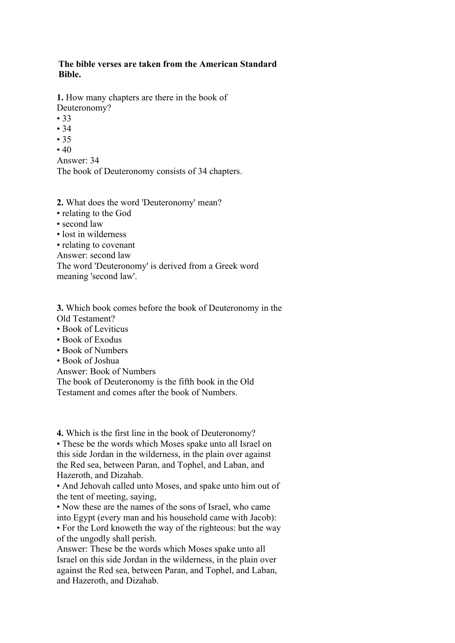## **The bible verses are taken from the American Standard Bible.**

**1.** How many chapters are there in the book of Deuteronomy?

- 33
- 34
- 35
- $40$

Answer: 34

The book of Deuteronomy consists of 34 chapters.

**2.** What does the word 'Deuteronomy' mean?

- relating to the God
- second law
- lost in wilderness
- relating to covenant

Answer: second law

The word 'Deuteronomy' is derived from a Greek word meaning 'second law'.

**3.** Which book comes before the book of Deuteronomy in the Old Testament?

- Book of Leviticus
- Book of Exodus
- Book of Numbers
- Book of Joshua

Answer: Book of Numbers

The book of Deuteronomy is the fifth book in the Old

Testament and comes after the book of Numbers.

**4.** Which is the first line in the book of Deuteronomy?

• These be the words which Moses spake unto all Israel on this side Jordan in the wilderness, in the plain over against the Red sea, between Paran, and Tophel, and Laban, and Hazeroth, and Dizahab.

• And Jehovah called unto Moses, and spake unto him out of the tent of meeting, saying,

• Now these are the names of the sons of Israel, who came into Egypt (every man and his household came with Jacob):

• For the Lord knoweth the way of the righteous: but the way of the ungodly shall perish.

Answer: These be the words which Moses spake unto all Israel on this side Jordan in the wilderness, in the plain over against the Red sea, between Paran, and Tophel, and Laban, and Hazeroth, and Dizahab.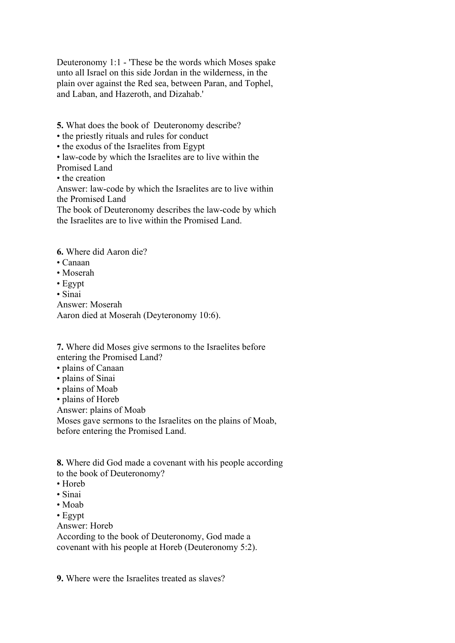Deuteronomy 1:1 - 'These be the words which Moses spake unto all Israel on this side Jordan in the wilderness, in the plain over against the Red sea, between Paran, and Tophel, and Laban, and Hazeroth, and Dizahab.'

**5.** What does the book of Deuteronomy describe?

• the priestly rituals and rules for conduct

• the exodus of the Israelites from Egypt

• law-code by which the Israelites are to live within the

Promised Land

• the creation

Answer: law-code by which the Israelites are to live within the Promised Land

The book of Deuteronomy describes the law-code by which the Israelites are to live within the Promised Land.

**6.** Where did Aaron die?

- Canaan
- Moserah

• Egypt

• Sinai

Answer: Moserah

Aaron died at Moserah (Deyteronomy 10:6).

**7.** Where did Moses give sermons to the Israelites before entering the Promised Land?

- plains of Canaan
- plains of Sinai
- plains of Moab

• plains of Horeb

Answer: plains of Moab

Moses gave sermons to the Israelites on the plains of Moab, before entering the Promised Land.

**8.** Where did God made a covenant with his people according to the book of Deuteronomy?

- Horeb
- Sinai
- Moab
- Egypt

Answer: Horeb

According to the book of Deuteronomy, God made a covenant with his people at Horeb (Deuteronomy 5:2).

**9.** Where were the Israelites treated as slaves?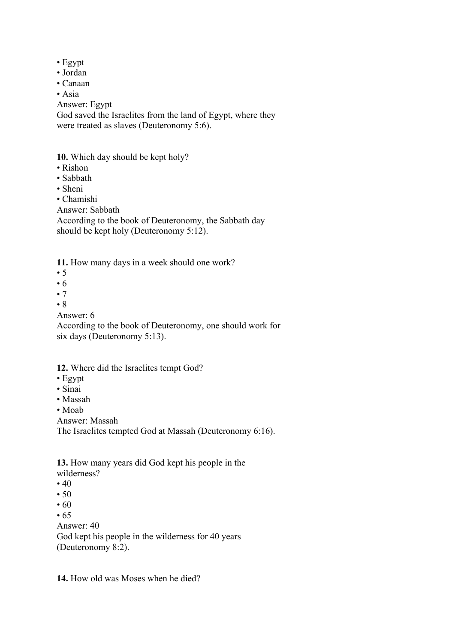- Egypt
- Jordan
- Canaan
- Asia

Answer: Egypt

God saved the Israelites from the land of Egypt, where they were treated as slaves (Deuteronomy 5:6).

**10.** Which day should be kept holy?

- Rishon
- Sabbath
- Sheni
- Chamishi
- Answer: Sabbath

According to the book of Deuteronomy, the Sabbath day should be kept holy (Deuteronomy 5:12).

**11.** How many days in a week should one work?

- $\bullet$  5
- 6
- 7
- 8

Answer: 6

According to the book of Deuteronomy, one should work for six days (Deuteronomy 5:13).

## **12.** Where did the Israelites tempt God?

- Egypt
- Sinai
- Massah
- Moab

Answer: Massah

The Israelites tempted God at Massah (Deuteronomy 6:16).

**13.** How many years did God kept his people in the wilderness?

- $40$
- 50
- $60$
- 65

Answer: 40

God kept his people in the wilderness for 40 years (Deuteronomy 8:2).

**14.** How old was Moses when he died?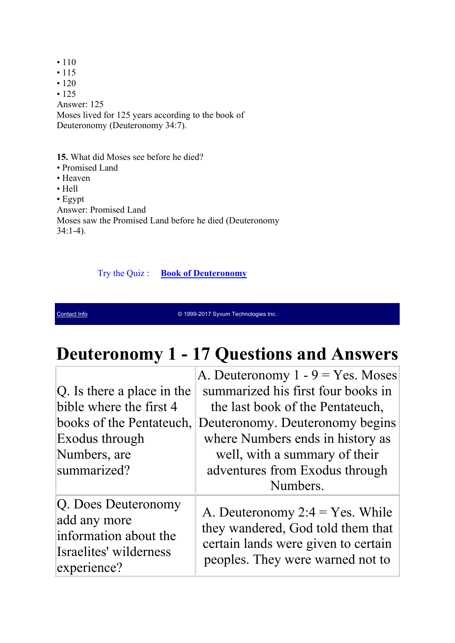• 110 • 115  $• 120$ • 125 Answer: 125 Moses lived for 125 years according to the book of Deuteronomy (Deuteronomy 34:7).

**15.** What did Moses see before he died?

- Promised Land
- Heaven
- Hell
- Egypt

Answer: Promised Land

Moses saw the Promised Land before he died (Deuteronomy 34:1-4).

Try the Quiz : **Book of Deuteronomy** 

Contact Info **Contact Info Contact Info Contact Info** Contact Inc.

## **Deuteronomy 1 - 17 Questions and Answers**

|                                                                                                       | A. Deuteronomy $1 - 9 = Yes$ . Moses                                                                                                               |
|-------------------------------------------------------------------------------------------------------|----------------------------------------------------------------------------------------------------------------------------------------------------|
| $ Q $ . Is there a place in the                                                                       | summarized his first four books in                                                                                                                 |
| bible where the first 4                                                                               | the last book of the Pentateuch,                                                                                                                   |
| books of the Pentateuch,                                                                              | Deuteronomy. Deuteronomy begins                                                                                                                    |
| Exodus through                                                                                        | where Numbers ends in history as                                                                                                                   |
| Numbers, are                                                                                          | well, with a summary of their                                                                                                                      |
| summarized?                                                                                           | adventures from Exodus through                                                                                                                     |
|                                                                                                       | Numbers.                                                                                                                                           |
| Q. Does Deuteronomy<br>add any more<br>information about the<br>Israelites' wilderness<br>experience? | A. Deuteronomy $2:4 = Yes$ . While<br>they wandered, God told them that<br>certain lands were given to certain<br>peoples. They were warned not to |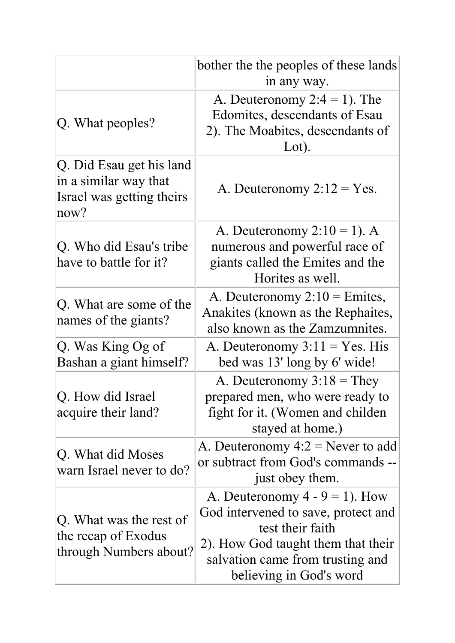|                                                                                        | bother the the peoples of these lands<br>in any way.                                                                                                                                              |
|----------------------------------------------------------------------------------------|---------------------------------------------------------------------------------------------------------------------------------------------------------------------------------------------------|
| Q. What peoples?                                                                       | A. Deuteronomy $2:4 = 1$ ). The<br>Edomites, descendants of Esau<br>2). The Moabites, descendants of<br>Lot).                                                                                     |
| Q. Did Esau get his land<br>in a similar way that<br>Israel was getting theirs<br>now? | A. Deuteronomy $2:12 = Yes.$                                                                                                                                                                      |
| Q. Who did Esau's tribe<br>have to battle for it?                                      | A. Deuteronomy $2:10 = 1$ ). A<br>numerous and powerful race of<br>giants called the Emites and the<br>Horites as well.                                                                           |
| Q. What are some of the<br>names of the giants?                                        | A. Deuteronomy $2:10 =$ Emites,<br>Anakites (known as the Rephaites,<br>also known as the Zamzumnites.                                                                                            |
| Q. Was King Og of<br>Bashan a giant himself?                                           | A. Deuteronomy $3:11 = Yes$ . His<br>bed was 13' long by 6' wide!                                                                                                                                 |
| Q. How did Israel<br>acquire their land?                                               | A. Deuteronomy $3:18 =$ They<br>prepared men, who were ready to<br>fight for it. (Women and childen<br>stayed at home.)                                                                           |
| Q. What did Moses<br>warn Israel never to do?                                          | A. Deuteronomy $4:2 =$ Never to add<br>or subtract from God's commands --<br>just obey them.                                                                                                      |
| Q. What was the rest of<br>the recap of Exodus<br>through Numbers about?               | A. Deuteronomy $4 - 9 = 1$ ). How<br>God intervened to save, protect and<br>test their faith<br>2). How God taught them that their<br>salvation came from trusting and<br>believing in God's word |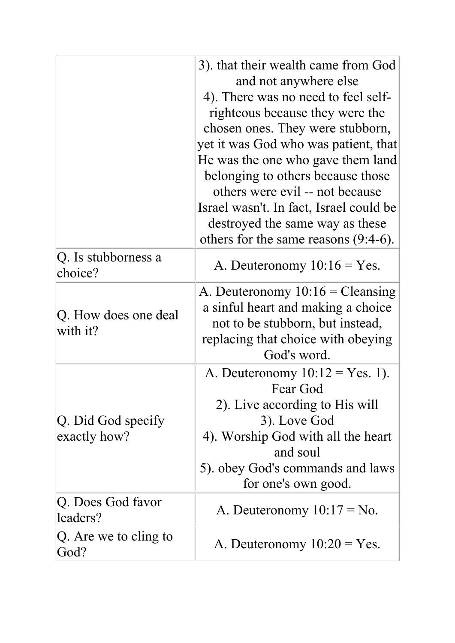|                                    | 3). that their wealth came from God<br>and not anywhere else<br>4). There was no need to feel self-<br>righteous because they were the<br>chosen ones. They were stubborn,<br>yet it was God who was patient, that<br>He was the one who gave them land<br>belonging to others because those<br>others were evil -- not because<br>Israel wasn't. In fact, Israel could be<br>destroyed the same way as these<br>others for the same reasons $(9:4-6)$ . |
|------------------------------------|----------------------------------------------------------------------------------------------------------------------------------------------------------------------------------------------------------------------------------------------------------------------------------------------------------------------------------------------------------------------------------------------------------------------------------------------------------|
| Q. Is stubborness a<br>choice?     | A. Deuteronomy $10:16 = Yes.$                                                                                                                                                                                                                                                                                                                                                                                                                            |
| Q. How does one deal<br>with it?   | A. Deuteronomy $10:16 = \text{Cleansing}$<br>a sinful heart and making a choice<br>not to be stubborn, but instead,<br>replacing that choice with obeying<br>God's word.                                                                                                                                                                                                                                                                                 |
| Q. Did God specify<br>exactly how? | A. Deuteronomy $10:12 = Yes. 1$ ).<br>Fear God<br>2). Live according to His will<br>3). Love God<br>4). Worship God with all the heart<br>and soul<br>5). obey God's commands and laws<br>for one's own good.                                                                                                                                                                                                                                            |
| Q. Does God favor<br>leaders?      | A. Deuteronomy $10:17 = No$ .                                                                                                                                                                                                                                                                                                                                                                                                                            |
| $ Q$ . Are we to cling to<br>God?  | A. Deuteronomy $10:20 = Yes$ .                                                                                                                                                                                                                                                                                                                                                                                                                           |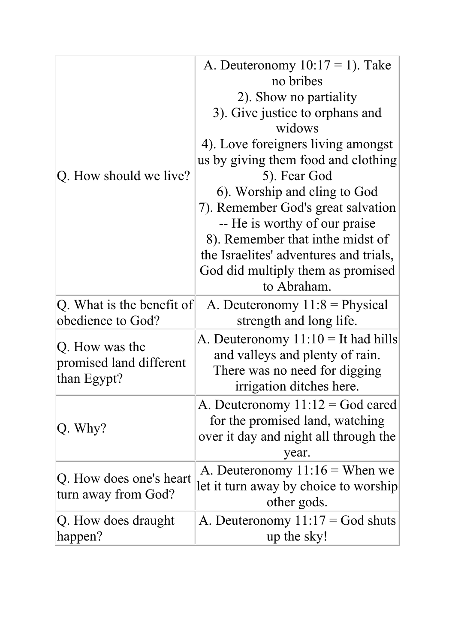|                           | A. Deuteronomy $10:17 = 1$ ). Take     |
|---------------------------|----------------------------------------|
|                           | no bribes                              |
|                           | 2). Show no partiality                 |
|                           | 3). Give justice to orphans and        |
|                           | widows                                 |
|                           | 4). Love foreigners living amongst     |
|                           | us by giving them food and clothing    |
| Q. How should we live?    | 5). Fear God                           |
|                           | 6). Worship and cling to God           |
|                           | 7). Remember God's great salvation     |
|                           | -- He is worthy of our praise          |
|                           | 8). Remember that in the midst of      |
|                           | the Israelites' adventures and trials, |
|                           | God did multiply them as promised      |
|                           | to Abraham.                            |
| Q. What is the benefit of | A. Deuteronomy $11:8$ = Physical       |
| obedience to God?         | strength and long life.                |
| Q. How was the            | A. Deuteronomy $11:10 =$ It had hills  |
| promised land different   | and valleys and plenty of rain.        |
| than Egypt?               | There was no need for digging          |
|                           | irrigation ditches here.               |
|                           | A. Deuteronomy $11:12 = God$ cared     |
| Q. Why?                   | for the promised land, watching        |
|                           | over it day and night all through the  |
|                           | year.                                  |
| Q. How does one's heart   | A. Deuteronomy $11:16$ = When we       |
| turn away from God?       | let it turn away by choice to worship  |
|                           | other gods.                            |
| Q. How does draught       | A. Deuteronomy $11:17 = God$ shuts     |
| happen?                   | up the sky!                            |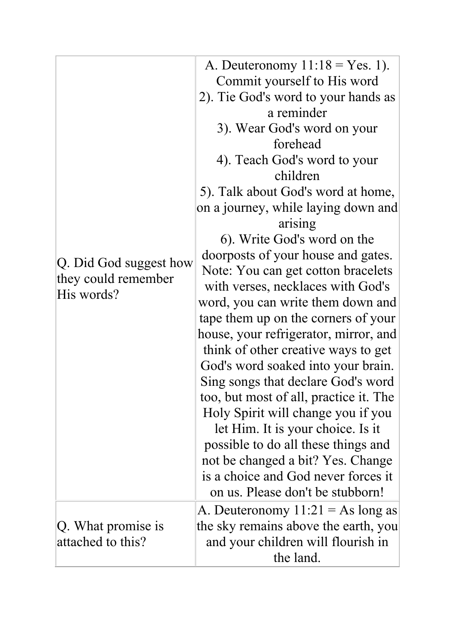|                                               | A. Deuteronomy $11:18 = Yes. 1$ .      |
|-----------------------------------------------|----------------------------------------|
|                                               | Commit yourself to His word            |
|                                               | 2). Tie God's word to your hands as    |
|                                               | a reminder                             |
|                                               | 3). Wear God's word on your            |
|                                               | forehead                               |
|                                               | 4). Teach God's word to your           |
|                                               | children                               |
|                                               | 5). Talk about God's word at home,     |
|                                               | on a journey, while laying down and    |
|                                               | arising                                |
|                                               | 6). Write God's word on the            |
|                                               | doorposts of your house and gates.     |
| Q. Did God suggest how<br>they could remember | Note: You can get cotton bracelets     |
| His words?                                    | with verses, necklaces with God's      |
|                                               | word, you can write them down and      |
|                                               | tape them up on the corners of your    |
|                                               | house, your refrigerator, mirror, and  |
|                                               | think of other creative ways to get    |
|                                               | God's word soaked into your brain.     |
|                                               | Sing songs that declare God's word     |
|                                               | too, but most of all, practice it. The |
|                                               | Holy Spirit will change you if you     |
|                                               | let Him. It is your choice. Is it      |
|                                               | possible to do all these things and    |
|                                               | not be changed a bit? Yes. Change      |
|                                               | is a choice and God never forces it    |
|                                               | on us. Please don't be stubborn!       |
| Q. What promise is<br>attached to this?       | A. Deuteronomy $11:21 = As$ long as    |
|                                               | the sky remains above the earth, you   |
|                                               | and your children will flourish in     |
|                                               | the land.                              |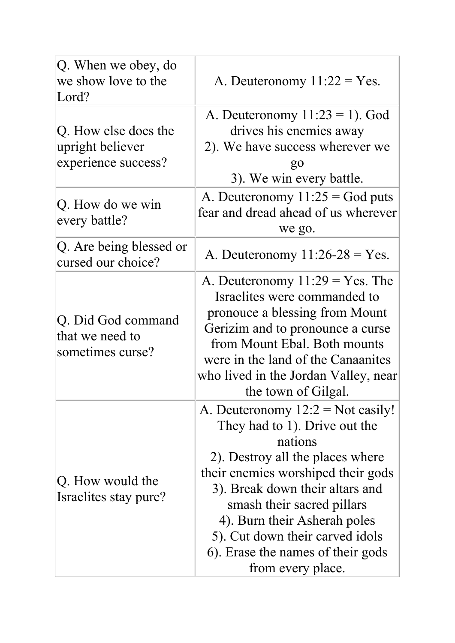| Q. When we obey, do<br>we show love to the<br>Lord?             | A. Deuteronomy $11:22 = Yes$ .                                                                                                                                                                                                                                                                                                                          |
|-----------------------------------------------------------------|---------------------------------------------------------------------------------------------------------------------------------------------------------------------------------------------------------------------------------------------------------------------------------------------------------------------------------------------------------|
| Q. How else does the<br>upright believer<br>experience success? | A. Deuteronomy $11:23 = 1$ ). God<br>drives his enemies away<br>2). We have success wherever we<br>$g_{0}$<br>3). We win every battle.                                                                                                                                                                                                                  |
| Q. How do we win<br>every battle?                               | A. Deuteronomy $11:25 = God$ puts<br>fear and dread ahead of us wherever<br>we go.                                                                                                                                                                                                                                                                      |
| Q. Are being blessed or<br>cursed our choice?                   | A. Deuteronomy $11:26-28 = Yes$ .                                                                                                                                                                                                                                                                                                                       |
| Q. Did God command<br>that we need to<br>sometimes curse?       | A. Deuteronomy $11:29 = Yes$ . The<br>Israelites were commanded to<br>pronouce a blessing from Mount<br>Gerizim and to pronounce a curse<br>from Mount Ebal. Both mounts<br>were in the land of the Canaanites<br>who lived in the Jordan Valley, near<br>the town of Gilgal.                                                                           |
| Q. How would the<br>Israelites stay pure?                       | A. Deuteronomy $12:2 = Not easily!$<br>They had to 1). Drive out the<br>nations<br>2). Destroy all the places where<br>their enemies worshiped their gods<br>3). Break down their altars and<br>smash their sacred pillars<br>4). Burn their Asherah poles<br>5). Cut down their carved idols<br>6). Erase the names of their gods<br>from every place. |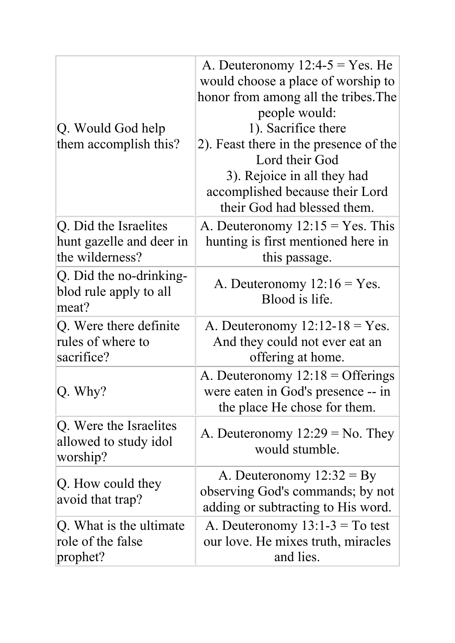| Q. Would God help<br>them accomplish this?                           | A. Deuteronomy $12:4-5 = Yes$ . He<br>would choose a place of worship to<br>honor from among all the tribes. The<br>people would:<br>1). Sacrifice there<br>2). Feast there in the presence of the<br>Lord their God<br>3). Rejoice in all they had<br>accomplished because their Lord<br>their God had blessed them. |
|----------------------------------------------------------------------|-----------------------------------------------------------------------------------------------------------------------------------------------------------------------------------------------------------------------------------------------------------------------------------------------------------------------|
| Q. Did the Israelites<br>hunt gazelle and deer in<br>the wilderness? | A. Deuteronomy $12:15 = Yes$ . This<br>hunting is first mentioned here in<br>this passage.                                                                                                                                                                                                                            |
| Q. Did the no-drinking-<br>blod rule apply to all<br>meat?           | A. Deuteronomy $12:16 = Yes.$<br>Blood is life.                                                                                                                                                                                                                                                                       |
| Q. Were there definite<br>rules of where to<br>sacrifice?            | A. Deuteronomy $12:12-18 = Yes.$<br>And they could not ever eat an<br>offering at home.                                                                                                                                                                                                                               |
| $Q.$ Why?                                                            | A. Deuteronomy $12:18 =$ Offerings<br>were eaten in God's presence -- in<br>the place He chose for them.                                                                                                                                                                                                              |
| Q. Were the Israelites<br>allowed to study idol<br>worship?          | A. Deuteronomy $12:29 = No$ . They<br>would stumble.                                                                                                                                                                                                                                                                  |
| Q. How could they<br>avoid that trap?                                | A. Deuteronomy $12:32 = By$<br>observing God's commands; by not<br>adding or subtracting to His word.                                                                                                                                                                                                                 |
| $ Q$ . What is the ultimate<br>role of the false<br>prophet?         | A. Deuteronomy $13:1-3 = To test$<br>our love. He mixes truth, miracles<br>and lies.                                                                                                                                                                                                                                  |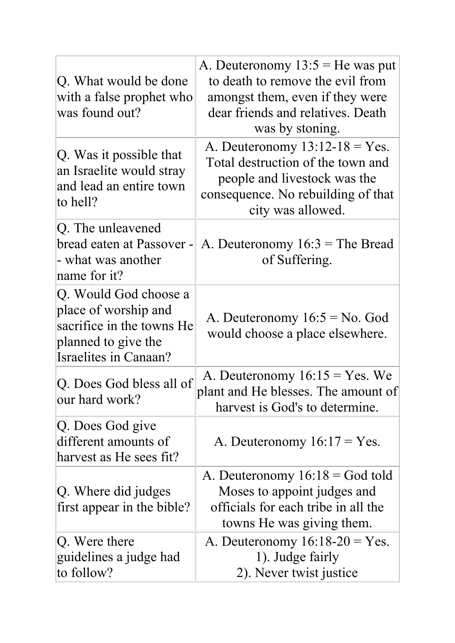| Q. What would be done<br>with a false prophet who<br>was found out?                                                               | A. Deuteronomy $13:5$ = He was put<br>to death to remove the evil from<br>amongst them, even if they were<br>dear friends and relatives. Death<br>was by stoning. |
|-----------------------------------------------------------------------------------------------------------------------------------|-------------------------------------------------------------------------------------------------------------------------------------------------------------------|
| Q. Was it possible that<br>an Israelite would stray<br>and lead an entire town<br>to hell?                                        | A. Deuteronomy $13:12-18 = Yes$ .<br>Total destruction of the town and<br>people and livestock was the<br>consequence. No rebuilding of that<br>city was allowed. |
| Q. The unleavened<br>bread eaten at Passover -<br>- what was another<br>name for it?                                              | A. Deuteronomy $16:3$ = The Bread<br>of Suffering.                                                                                                                |
| Q. Would God choose a<br>place of worship and<br>sacrifice in the towns He<br>planned to give the<br><b>Israelites in Canaan?</b> | A. Deuteronomy $16:5 = No.$ God<br>would choose a place elsewhere.                                                                                                |
| Q. Does God bless all of<br>our hard work?                                                                                        | A. Deuteronomy $16:15 = Yes.$ We<br>plant and He blesses. The amount of<br>harvest is God's to determine.                                                         |
| Q. Does God give<br>different amounts of<br>harvest as He sees fit?                                                               | A. Deuteronomy $16:17 = Yes.$                                                                                                                                     |
| Q. Where did judges<br>first appear in the bible?                                                                                 | A. Deuteronomy $16:18 = God$ told<br>Moses to appoint judges and<br>officials for each tribe in all the<br>towns He was giving them.                              |
| Q. Were there<br>guidelines a judge had<br>to follow?                                                                             | A. Deuteronomy $16:18-20 = Yes$ .<br>1). Judge fairly<br>2). Never twist justice                                                                                  |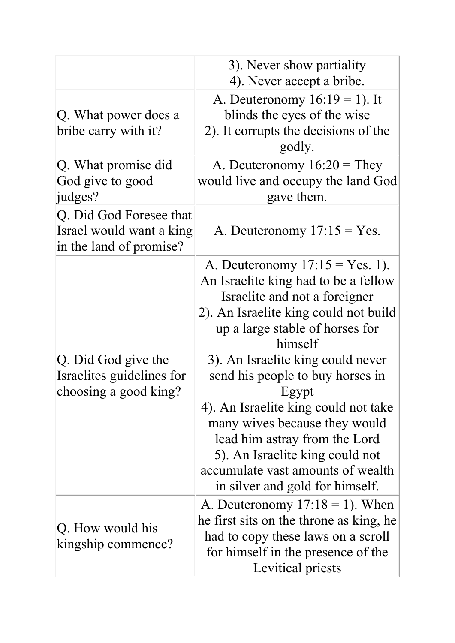|                                                                                | 3). Never show partiality<br>4). Never accept a bribe.                                                                                                                                                                                                                                                                                                                                                                                                                                                   |
|--------------------------------------------------------------------------------|----------------------------------------------------------------------------------------------------------------------------------------------------------------------------------------------------------------------------------------------------------------------------------------------------------------------------------------------------------------------------------------------------------------------------------------------------------------------------------------------------------|
| Q. What power does a<br>bribe carry with it?                                   | A. Deuteronomy $16:19 = 1$ ). It<br>blinds the eyes of the wise<br>2). It corrupts the decisions of the<br>godly.                                                                                                                                                                                                                                                                                                                                                                                        |
| Q. What promise did<br>God give to good<br>judges?                             | A. Deuteronomy $16:20$ = They<br>would live and occupy the land God<br>gave them.                                                                                                                                                                                                                                                                                                                                                                                                                        |
| Q. Did God Foresee that<br>Israel would want a king<br>in the land of promise? | A. Deuteronomy $17:15 = Yes.$                                                                                                                                                                                                                                                                                                                                                                                                                                                                            |
| Q. Did God give the<br>Israelites guidelines for<br>choosing a good king?      | A. Deuteronomy $17:15 = Yes. 1$ .<br>An Israelite king had to be a fellow<br>Israelite and not a foreigner<br>2). An Israelite king could not build<br>up a large stable of horses for<br>himself<br>3). An Israelite king could never<br>send his people to buy horses in<br>Egypt<br>4). An Israelite king could not take<br>many wives because they would<br>lead him astray from the Lord<br>5). An Israelite king could not<br>accumulate vast amounts of wealth<br>in silver and gold for himself. |
| Q. How would his<br>kingship commence?                                         | A. Deuteronomy $17:18 = 1$ ). When<br>he first sits on the throne as king, he<br>had to copy these laws on a scroll<br>for himself in the presence of the<br>Levitical priests                                                                                                                                                                                                                                                                                                                           |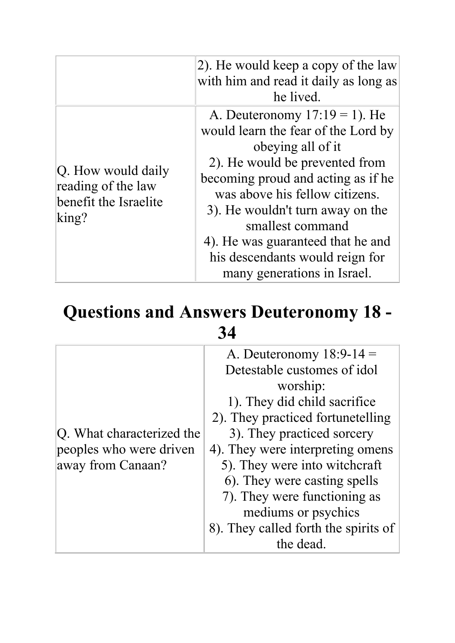|                                                                                     | 2). He would keep a copy of the law<br>with him and read it daily as long as<br>he lived.                                                                                                                                                                                                                                                                             |
|-------------------------------------------------------------------------------------|-----------------------------------------------------------------------------------------------------------------------------------------------------------------------------------------------------------------------------------------------------------------------------------------------------------------------------------------------------------------------|
| Q. How would daily<br>reading of the law<br>benefit the Israelite<br>$\text{king?}$ | A. Deuteronomy $17:19 = 1$ ). He<br>would learn the fear of the Lord by<br>obeying all of it<br>2). He would be prevented from<br>becoming proud and acting as if he<br>was above his fellow citizens.<br>3). He wouldn't turn away on the<br>smallest command<br>4). He was guaranteed that he and<br>his descendants would reign for<br>many generations in Israel. |

## **Questions and Answers Deuteronomy 18 - 34**

|                           | A. Deuteronomy $18:9-14 =$           |
|---------------------------|--------------------------------------|
|                           | Detestable customes of idol          |
|                           | worship:                             |
|                           | 1). They did child sacrifice         |
|                           | 2). They practiced fortunetelling    |
| Q. What characterized the | 3). They practiced sorcery           |
| peoples who were driven   | 4). They were interpreting omens     |
| away from Canaan?         | 5). They were into witchcraft        |
|                           | 6). They were casting spells         |
|                           | 7). They were functioning as         |
|                           | mediums or psychics                  |
|                           | 8). They called forth the spirits of |
|                           | the dead.                            |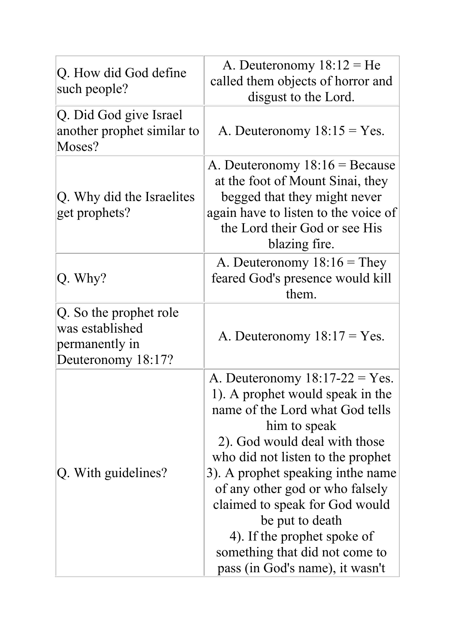| Q. How did God define<br>such people?                                             | A. Deuteronomy $18:12 = He$<br>called them objects of horror and<br>disgust to the Lord.                                                                                                                                                                                                                                                                                                                                         |
|-----------------------------------------------------------------------------------|----------------------------------------------------------------------------------------------------------------------------------------------------------------------------------------------------------------------------------------------------------------------------------------------------------------------------------------------------------------------------------------------------------------------------------|
| Q. Did God give Israel<br>another prophet similar to<br>Moses?                    | A. Deuteronomy $18:15 = Yes.$                                                                                                                                                                                                                                                                                                                                                                                                    |
| Q. Why did the Israelites<br>get prophets?                                        | A. Deuteronomy $18:16 =$ Because<br>at the foot of Mount Sinai, they<br>begged that they might never<br>again have to listen to the voice of<br>the Lord their God or see His<br>blazing fire.                                                                                                                                                                                                                                   |
| Q. Why?                                                                           | A. Deuteronomy $18:16 =$ They<br>feared God's presence would kill<br>them.                                                                                                                                                                                                                                                                                                                                                       |
| Q. So the prophet role<br>was established<br>permanently in<br>Deuteronomy 18:17? | A. Deuteronomy $18:17 = Yes.$                                                                                                                                                                                                                                                                                                                                                                                                    |
| Q. With guidelines?                                                               | A. Deuteronomy $18:17-22 = Yes$ .<br>1). A prophet would speak in the<br>name of the Lord what God tells<br>him to speak<br>2). God would deal with those<br>who did not listen to the prophet<br>3). A prophet speaking in the name<br>of any other god or who falsely<br>claimed to speak for God would<br>be put to death<br>4). If the prophet spoke of<br>something that did not come to<br>pass (in God's name), it wasn't |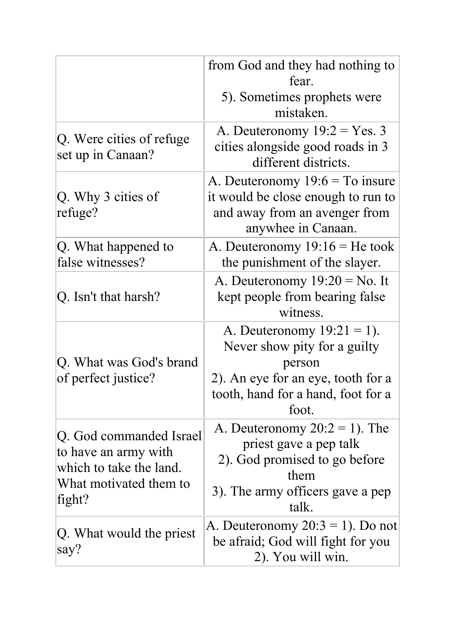|                                                                                                                | from God and they had nothing to<br>fear.                                                                                                                    |
|----------------------------------------------------------------------------------------------------------------|--------------------------------------------------------------------------------------------------------------------------------------------------------------|
|                                                                                                                | 5). Sometimes prophets were<br>mistaken.                                                                                                                     |
| Q. Were cities of refuge<br>set up in Canaan?                                                                  | A. Deuteronomy $19:2 = Yes.3$<br>cities alongside good roads in 3<br>different districts.                                                                    |
| Q. Why 3 cities of<br>refuge?                                                                                  | A. Deuteronomy $19:6 = To$ insure<br>it would be close enough to run to<br>and away from an avenger from<br>anywhee in Canaan.                               |
| Q. What happened to<br>false witnesses?                                                                        | A. Deuteronomy $19:16$ = He took<br>the punishment of the slayer.                                                                                            |
| Q. Isn't that harsh?                                                                                           | A. Deuteronomy $19:20 = No$ . It<br>kept people from bearing false<br>witness.                                                                               |
| Q. What was God's brand<br>of perfect justice?                                                                 | A. Deuteronomy $19:21 = 1$ ).<br>Never show pity for a guilty<br>person<br>2). An eye for an eye, tooth for a<br>tooth, hand for a hand, foot for a<br>foot. |
| Q. God commanded Israel<br>to have an army with<br>which to take the land.<br>What motivated them to<br>fight? | A. Deuteronomy $20:2 = 1$ ). The<br>priest gave a pep talk<br>2). God promised to go before<br>them<br>3). The army officers gave a pep<br>talk.             |
| Q. What would the priest<br>say?                                                                               | A. Deuteronomy $20:3 = 1$ ). Do not<br>be afraid; God will fight for you<br>2). You will win.                                                                |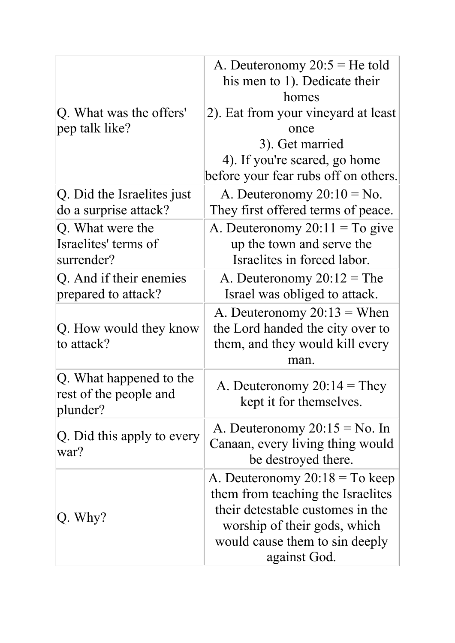| Q. What was the offers'<br>pep talk like?                     | A. Deuteronomy $20:5 = He$ told<br>his men to 1). Dedicate their<br>homes<br>2). Eat from your vineyard at least<br>once<br>3). Get married<br>4). If you're scared, go home<br>before your fear rubs off on others. |
|---------------------------------------------------------------|----------------------------------------------------------------------------------------------------------------------------------------------------------------------------------------------------------------------|
| Q. Did the Israelites just<br>do a surprise attack?           | A. Deuteronomy $20:10 = No$ .<br>They first offered terms of peace.                                                                                                                                                  |
| Q. What were the<br>Israelites' terms of<br>surrender?        | A. Deuteronomy $20:11 = To give$<br>up the town and serve the<br>Israelites in forced labor.                                                                                                                         |
| Q. And if their enemies<br>prepared to attack?                | A. Deuteronomy $20:12 =$ The<br>Israel was obliged to attack.                                                                                                                                                        |
| Q. How would they know<br>to attack?                          | A. Deuteronomy $20:13 =$ When<br>the Lord handed the city over to<br>them, and they would kill every<br>man.                                                                                                         |
| Q. What happened to the<br>rest of the people and<br>plunder? | A. Deuteronomy $20:14 =$ They<br>kept it for themselves.                                                                                                                                                             |
| Q. Did this apply to every<br>war?                            | A. Deuteronomy $20:15 = No$ . In<br>Canaan, every living thing would<br>be destroyed there.                                                                                                                          |
| Q. Why?                                                       | A. Deuteronomy $20:18 = To$ keep<br>them from teaching the Israelites<br>their detestable customes in the<br>worship of their gods, which<br>would cause them to sin deeply<br>against God.                          |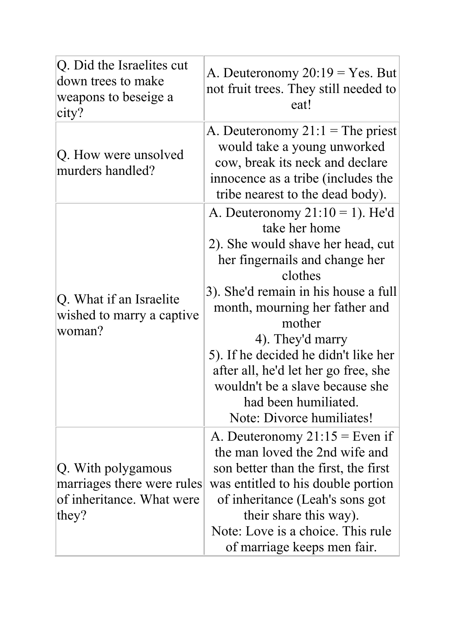| Q. Did the Israelites cut<br>down trees to make<br>weapons to beseige a<br>city?       | A. Deuteronomy $20:19 = Yes.$ But<br>not fruit trees. They still needed to<br>eat!                                                                                                                                                                                                                                                                                                                                    |
|----------------------------------------------------------------------------------------|-----------------------------------------------------------------------------------------------------------------------------------------------------------------------------------------------------------------------------------------------------------------------------------------------------------------------------------------------------------------------------------------------------------------------|
| Q. How were unsolved<br>murders handled?                                               | A. Deuteronomy $21:1 =$ The priest<br>would take a young unworked<br>cow, break its neck and declare<br>innocence as a tribe (includes the<br>tribe nearest to the dead body).                                                                                                                                                                                                                                        |
| Q. What if an Israelite<br>wished to marry a captive<br>woman?                         | A. Deuteronomy $21:10 = 1$ ). He'd<br>take her home<br>2). She would shave her head, cut<br>her fingernails and change her<br>clothes<br>3). She'd remain in his house a full<br>month, mourning her father and<br>mother<br>4). They'd marry<br>5). If he decided he didn't like her<br>after all, he'd let her go free, she<br>wouldn't be a slave because she<br>had been humiliated.<br>Note: Divorce humiliates! |
| Q. With polygamous<br>marriages there were rules<br>of inheritance. What were<br>they? | A. Deuteronomy $21:15$ = Even if<br>the man loved the 2nd wife and<br>son better than the first, the first<br>was entitled to his double portion<br>of inheritance (Leah's sons got<br>their share this way).<br>Note: Love is a choice. This rule<br>of marriage keeps men fair.                                                                                                                                     |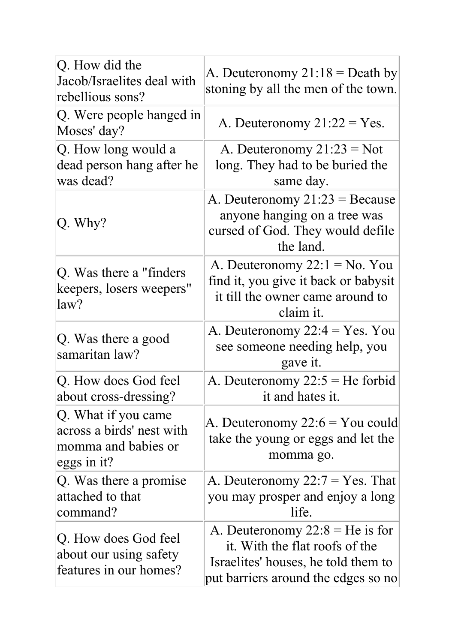| Q. How did the<br>Jacob/Israelites deal with<br>rebellious sons?                       | A. Deuteronomy $21:18 =$ Death by<br>stoning by all the men of the town.                                                                          |
|----------------------------------------------------------------------------------------|---------------------------------------------------------------------------------------------------------------------------------------------------|
| Q. Were people hanged in<br>Moses' day?                                                | A. Deuteronomy $21:22 = Yes$ .                                                                                                                    |
| Q. How long would a<br>dead person hang after he<br>was dead?                          | A. Deuteronomy $21:23 = Not$<br>long. They had to be buried the<br>same day.                                                                      |
| $ Q.$ Why?                                                                             | A. Deuteronomy $21:23 =$ Because<br>anyone hanging on a tree was<br>cursed of God. They would defile<br>the land.                                 |
| Q. Was there a "finders"<br>keepers, losers weepers"<br>law?                           | A. Deuteronomy $22:1 = No. You$<br>find it, you give it back or babysit<br>it till the owner came around to<br>claim it.                          |
| Q. Was there a good<br>samaritan law?                                                  | A. Deuteronomy $22:4 = Yes. You$<br>see someone needing help, you<br>gave it.                                                                     |
| Q. How does God feel<br>about cross-dressing?                                          | A. Deuteronomy $22:5 = He$ forbid<br>it and hates it                                                                                              |
| Q. What if you came<br>across a birds' nest with<br>momma and babies or<br>eggs in it? | A. Deuteronomy 22:6 = You could<br>take the young or eggs and let the<br>momma go.                                                                |
| Q. Was there a promise<br>attached to that<br>command?                                 | A. Deuteronomy $22:7 = Yes$ . That<br>you may prosper and enjoy a long<br>life.                                                                   |
| Q. How does God feel<br>about our using safety<br>features in our homes?               | A. Deuteronomy $22:8 = He$ is for<br>it. With the flat roofs of the<br>Israelites' houses, he told them to<br>put barriers around the edges so no |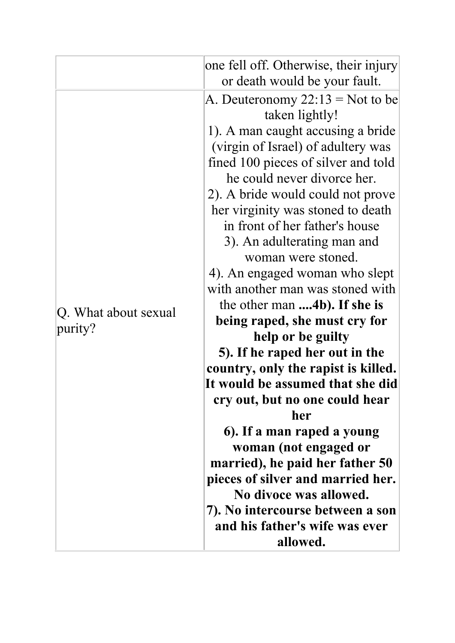|                                 | one fell off. Otherwise, their injury<br>or death would be your fault.                                                                                                                                                                                                                                                                                                                                                                                                                                                                                                                                                                                                                                                                                                                                                                                                                                                              |
|---------------------------------|-------------------------------------------------------------------------------------------------------------------------------------------------------------------------------------------------------------------------------------------------------------------------------------------------------------------------------------------------------------------------------------------------------------------------------------------------------------------------------------------------------------------------------------------------------------------------------------------------------------------------------------------------------------------------------------------------------------------------------------------------------------------------------------------------------------------------------------------------------------------------------------------------------------------------------------|
| Q. What about sexual<br>purity? | A. Deuteronomy $22:13 =$ Not to be<br>taken lightly!<br>1). A man caught accusing a bride<br>(virgin of Israel) of adultery was<br>fined 100 pieces of silver and told<br>he could never divorce her.<br>2). A bride would could not prove<br>her virginity was stoned to death<br>in front of her father's house<br>3). An adulterating man and<br>woman were stoned.<br>4). An engaged woman who slept<br>with another man was stoned with<br>the other man 4b). If she is<br>being raped, she must cry for<br>help or be guilty<br>5). If he raped her out in the<br>country, only the rapist is killed.<br>It would be assumed that she did<br>cry out, but no one could hear<br>her<br>6). If a man raped a young<br>woman (not engaged or<br>married), he paid her father 50<br>pieces of silver and married her.<br>No divoce was allowed.<br>7). No intercourse between a son<br>and his father's wife was ever<br>allowed. |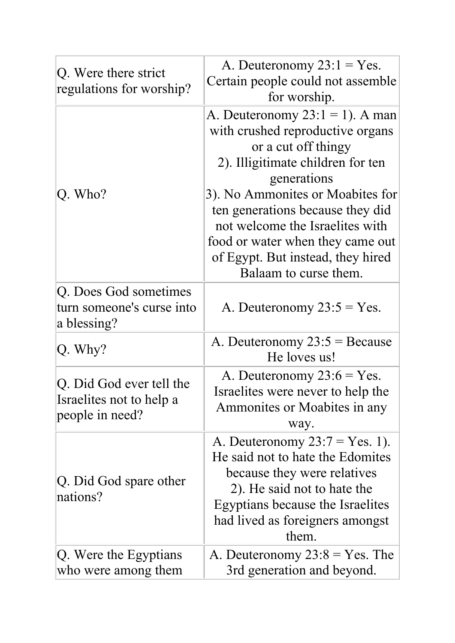|                                                  | A. Deuteronomy $23:1 = Yes$ .      |
|--------------------------------------------------|------------------------------------|
| Q. Were there strict<br>regulations for worship? | Certain people could not assemble  |
|                                                  | for worship.                       |
|                                                  | A. Deuteronomy $23:1 = 1$ ). A man |
|                                                  | with crushed reproductive organs   |
|                                                  | or a cut off thingy                |
|                                                  | 2). Illigitimate children for ten  |
|                                                  | generations                        |
| $Q.$ Who?                                        | 3). No Ammonites or Moabites for   |
|                                                  | ten generations because they did   |
|                                                  | not welcome the Israelites with    |
|                                                  | food or water when they came out   |
|                                                  | of Egypt. But instead, they hired  |
|                                                  | Balaam to curse them.              |
| Q. Does God sometimes                            |                                    |
| turn someone's curse into                        | A. Deuteronomy $23:5 = Yes$ .      |
| a blessing?                                      |                                    |
| $ Q.$ Why?                                       | A. Deuteronomy $23:5 =$ Because    |
|                                                  | He loves us!                       |
| Q. Did God ever tell the                         | A. Deuteronomy $23:6 = Yes.$       |
| Israelites not to help a                         | Israelites were never to help the  |
| people in need?                                  | Ammonites or Moabites in any       |
|                                                  | way.                               |
|                                                  | A. Deuteronomy $23:7 = Yes. 1$ ).  |
|                                                  | He said not to hate the Edomites   |
| Q. Did God spare other                           | because they were relatives        |
| nations?                                         | 2). He said not to hate the        |
|                                                  | Egyptians because the Israelites   |
|                                                  | had lived as foreigners amongst    |
|                                                  | them.                              |
| Q. Were the Egyptians                            | A. Deuteronomy $23:8 = Yes$ . The  |
| who were among them                              | 3rd generation and beyond.         |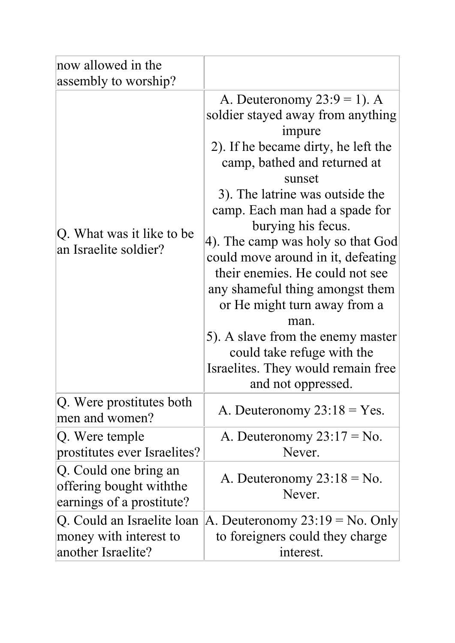| now allowed in the                                                            |                                                                                                                                                                                                                                                                                                                                                                                                                                                                                                                                                                                    |
|-------------------------------------------------------------------------------|------------------------------------------------------------------------------------------------------------------------------------------------------------------------------------------------------------------------------------------------------------------------------------------------------------------------------------------------------------------------------------------------------------------------------------------------------------------------------------------------------------------------------------------------------------------------------------|
| assembly to worship?                                                          |                                                                                                                                                                                                                                                                                                                                                                                                                                                                                                                                                                                    |
| Q. What was it like to be<br>an Israelite soldier?                            | A. Deuteronomy $23:9 = 1$ ). A<br>soldier stayed away from anything<br>impure<br>2). If he became dirty, he left the<br>camp, bathed and returned at<br>sunset<br>3). The latrine was outside the<br>camp. Each man had a spade for<br>burying his fecus.<br>4). The camp was holy so that God<br>could move around in it, defeating<br>their enemies. He could not see<br>any shameful thing amongst them<br>or He might turn away from a<br>man.<br>5). A slave from the enemy master<br>could take refuge with the<br>Israelites. They would remain free.<br>and not oppressed. |
| Q. Were prostitutes both<br>men and women?                                    | A. Deuteronomy $23:18 = Yes.$                                                                                                                                                                                                                                                                                                                                                                                                                                                                                                                                                      |
| Q. Were temple<br>prostitutes ever Israelites?                                | A. Deuteronomy $23:17 = No$ .<br>Never.                                                                                                                                                                                                                                                                                                                                                                                                                                                                                                                                            |
| Q. Could one bring an<br>offering bought withthe<br>earnings of a prostitute? | A. Deuteronomy $23:18 = No$ .<br>Never.                                                                                                                                                                                                                                                                                                                                                                                                                                                                                                                                            |
| Q. Could an Israelite loan<br>money with interest to<br>another Israelite?    | A. Deuteronomy $23:19 = No.$ Only<br>to foreigners could they charge<br>interest.                                                                                                                                                                                                                                                                                                                                                                                                                                                                                                  |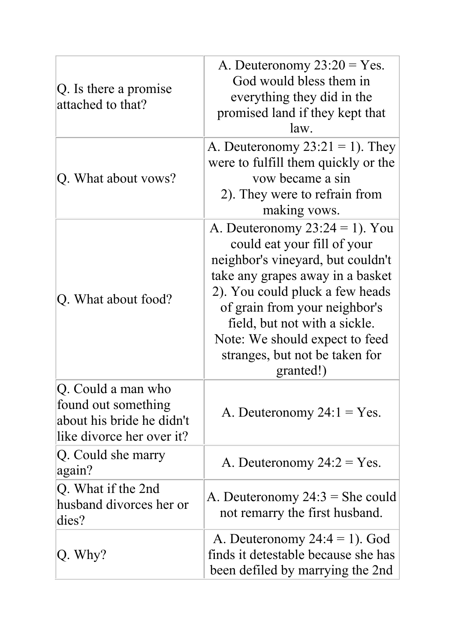| Q. Is there a promise<br>attached to that?                                                          | A. Deuteronomy $23:20 = Yes$ .<br>God would bless them in<br>everything they did in the<br>promised land if they kept that<br>law.                                                                                                                                                                                              |
|-----------------------------------------------------------------------------------------------------|---------------------------------------------------------------------------------------------------------------------------------------------------------------------------------------------------------------------------------------------------------------------------------------------------------------------------------|
| Q. What about vows?                                                                                 | A. Deuteronomy $23:21 = 1$ ). They<br>were to fulfill them quickly or the<br>vow became a sin<br>2). They were to refrain from<br>making vows.                                                                                                                                                                                  |
| Q. What about food?                                                                                 | A. Deuteronomy $23:24 = 1$ ). You<br>could eat your fill of your<br>neighbor's vineyard, but couldn't<br>take any grapes away in a basket<br>2). You could pluck a few heads<br>of grain from your neighbor's<br>field, but not with a sickle.<br>Note: We should expect to feed<br>stranges, but not be taken for<br>granted!) |
| Q. Could a man who<br>found out something<br>about his bride he didn't<br>like divorce her over it? | A. Deuteronomy $24:1 = Yes$ .                                                                                                                                                                                                                                                                                                   |
| Q. Could she marry<br>again?                                                                        | A. Deuteronomy $24:2 = Yes$ .                                                                                                                                                                                                                                                                                                   |
| Q. What if the 2nd<br>husband divorces her or<br>dies?                                              | A. Deuteronomy $24:3 =$ She could<br>not remarry the first husband.                                                                                                                                                                                                                                                             |
| $Q.$ Why?                                                                                           | A. Deuteronomy $24:4 = 1$ ). God<br>finds it detestable because she has<br>been defiled by marrying the 2nd                                                                                                                                                                                                                     |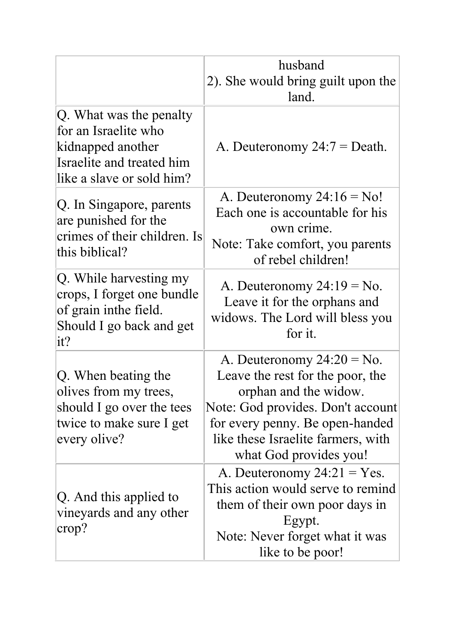|                                                                                                                                | husband<br>2). She would bring guilt upon the<br>land.                                                                                                                                                                             |
|--------------------------------------------------------------------------------------------------------------------------------|------------------------------------------------------------------------------------------------------------------------------------------------------------------------------------------------------------------------------------|
| Q. What was the penalty<br>for an Israelite who<br>kidnapped another<br>Israelite and treated him<br>like a slave or sold him? | A. Deuteronomy $24:7 =$ Death.                                                                                                                                                                                                     |
| Q. In Singapore, parents<br>are punished for the<br>crimes of their children. Is<br>this biblical?                             | A. Deuteronomy $24:16 = No!$<br>Each one is accountable for his<br>own crime.<br>Note: Take comfort, you parents<br>of rebel children!                                                                                             |
| Q. While harvesting my<br>crops, I forget one bundle<br>of grain inthe field.<br>Should I go back and get<br>it?               | A. Deuteronomy $24:19 = No$ .<br>Leave it for the orphans and<br>widows. The Lord will bless you<br>for it.                                                                                                                        |
| Q. When beating the<br>olives from my trees,<br>should I go over the tees<br>twice to make sure I get<br>every olive?          | A. Deuteronomy $24:20 = No$ .<br>Leave the rest for the poor, the<br>orphan and the widow.<br>Note: God provides. Don't account<br>for every penny. Be open-handed<br>like these Israelite farmers, with<br>what God provides you! |
| Q. And this applied to<br>vineyards and any other<br>crop?                                                                     | A. Deuteronomy $24:21 = Yes$ .<br>This action would serve to remind<br>them of their own poor days in<br>Egypt.<br>Note: Never forget what it was<br>like to be poor!                                                              |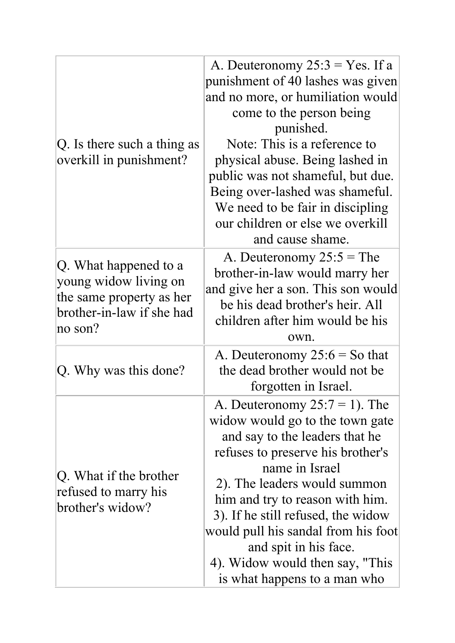| Q. Is there such a thing as<br>overkill in punishment?                                                              | A. Deuteronomy $25:3 = Yes.$ If a<br>punishment of 40 lashes was given<br>and no more, or humiliation would<br>come to the person being<br>punished.<br>Note: This is a reference to<br>physical abuse. Being lashed in<br>public was not shameful, but due.<br>Being over-lashed was shameful.<br>We need to be fair in discipling<br>our children or else we overkill<br>and cause shame.              |
|---------------------------------------------------------------------------------------------------------------------|----------------------------------------------------------------------------------------------------------------------------------------------------------------------------------------------------------------------------------------------------------------------------------------------------------------------------------------------------------------------------------------------------------|
| Q. What happened to a<br>young widow living on<br>the same property as her<br>brother-in-law if she had<br> no~son? | A. Deuteronomy $25:5 =$ The<br>brother-in-law would marry her<br>and give her a son. This son would<br>be his dead brother's heir. All<br>children after him would be his<br>own.                                                                                                                                                                                                                        |
| Q. Why was this done?                                                                                               | A. Deuteronomy $25:6 =$ So that<br>the dead brother would not be<br>forgotten in Israel.                                                                                                                                                                                                                                                                                                                 |
| Q. What if the brother<br>refused to marry his<br>brother's widow?                                                  | A. Deuteronomy $25:7 = 1$ ). The<br>widow would go to the town gate<br>and say to the leaders that he<br>refuses to preserve his brother's<br>name in Israel<br>2). The leaders would summon<br>him and try to reason with him.<br>3). If he still refused, the widow<br>would pull his sandal from his foot<br>and spit in his face.<br>4). Widow would then say, "This<br>is what happens to a man who |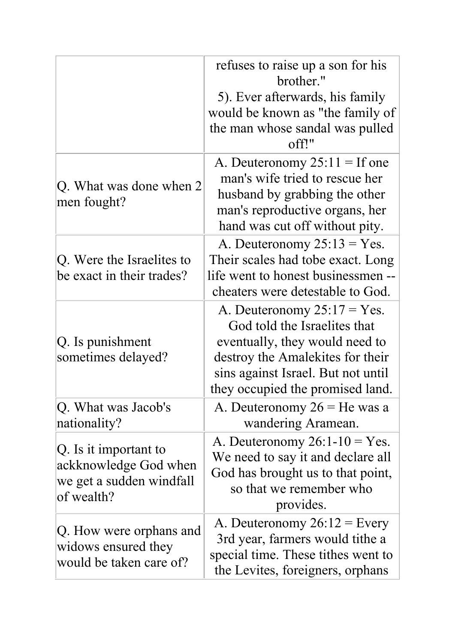|                                                                                          | refuses to raise up a son for his<br>brother."<br>5). Ever afterwards, his family<br>would be known as "the family of<br>the man whose sandal was pulled<br>off!"                                              |
|------------------------------------------------------------------------------------------|----------------------------------------------------------------------------------------------------------------------------------------------------------------------------------------------------------------|
| Q. What was done when 2<br>men fought?                                                   | A. Deuteronomy $25:11 =$ If one<br>man's wife tried to rescue her<br>husband by grabbing the other<br>man's reproductive organs, her<br>hand was cut off without pity.                                         |
| Q. Were the Israelites to<br>be exact in their trades?                                   | A. Deuteronomy $25:13 = Yes.$<br>Their scales had tobe exact. Long<br>life went to honest businessmen --<br>cheaters were detestable to God.                                                                   |
| Q. Is punishment<br>sometimes delayed?                                                   | A. Deuteronomy $25:17 = Yes$ .<br>God told the Israelites that<br>eventually, they would need to<br>destroy the Amalekites for their<br>sins against Israel. But not until<br>they occupied the promised land. |
| Q. What was Jacob's<br>nationality?                                                      | A. Deuteronomy $26$ = He was a<br>wandering Aramean.                                                                                                                                                           |
| Q. Is it important to<br>ackknowledge God when<br>we get a sudden windfall<br>of wealth? | A. Deuteronomy $26:1-10 = Yes.$<br>We need to say it and declare all<br>God has brought us to that point,<br>so that we remember who<br>provides.                                                              |
| Q. How were orphans and<br>widows ensured they<br>would be taken care of?                | A. Deuteronomy $26:12$ = Every<br>3rd year, farmers would tithe a<br>special time. These tithes went to<br>the Levites, foreigners, orphans                                                                    |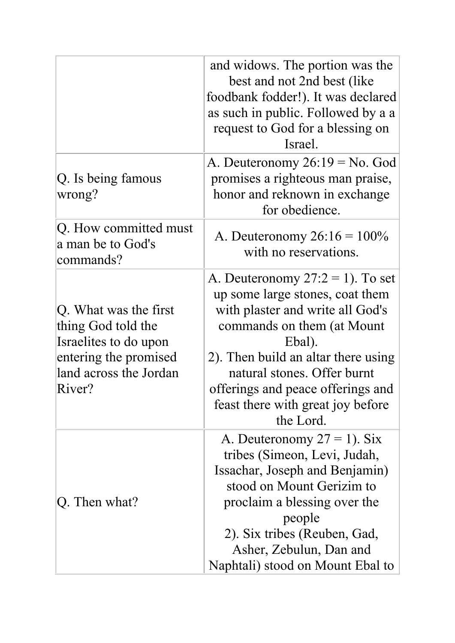|                                                                                                                                   | and widows. The portion was the<br>best and not 2nd best (like)<br>foodbank fodder!). It was declared<br>as such in public. Followed by a a<br>request to God for a blessing on<br>Israel.                                                                                                                      |
|-----------------------------------------------------------------------------------------------------------------------------------|-----------------------------------------------------------------------------------------------------------------------------------------------------------------------------------------------------------------------------------------------------------------------------------------------------------------|
| Q. Is being famous<br>wrong?                                                                                                      | A. Deuteronomy $26:19 = No.$ God<br>promises a righteous man praise,<br>honor and reknown in exchange<br>for obedience.                                                                                                                                                                                         |
| Q. How committed must<br>a man be to God's<br>commands?                                                                           | A. Deuteronomy $26:16 = 100\%$<br>with no reservations.                                                                                                                                                                                                                                                         |
| Q. What was the first<br>thing God told the<br>Israelites to do upon<br>entering the promised<br>land across the Jordan<br>River? | A. Deuteronomy $27:2 = 1$ ). To set<br>up some large stones, coat them<br>with plaster and write all God's<br>commands on them (at Mount<br>Ebal).<br>2). Then build an altar there using<br>natural stones. Offer burnt<br>offerings and peace offerings and<br>feast there with great joy before<br>the Lord. |
| Q. Then what?                                                                                                                     | A. Deuteronomy $27 = 1$ ). Six<br>tribes (Simeon, Levi, Judah,<br>Issachar, Joseph and Benjamin)<br>stood on Mount Gerizim to<br>proclaim a blessing over the<br>people<br>2). Six tribes (Reuben, Gad,<br>Asher, Zebulun, Dan and<br>Naphtali) stood on Mount Ebal to                                          |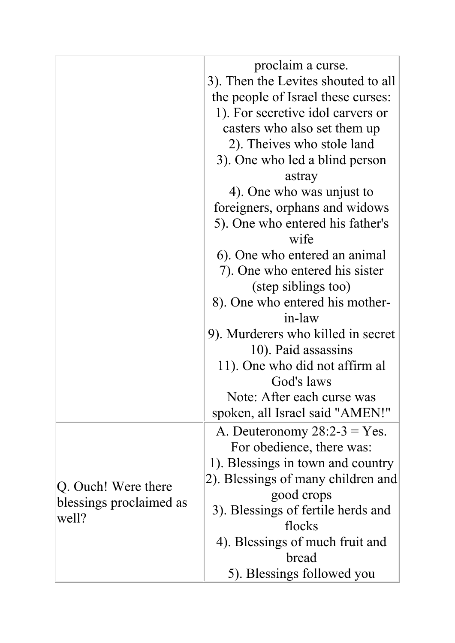|                                  | proclaim a curse.                         |
|----------------------------------|-------------------------------------------|
|                                  | 3). Then the Levites shouted to all       |
|                                  | the people of Israel these curses:        |
|                                  | 1). For secretive idol carvers or         |
|                                  | casters who also set them up              |
|                                  | 2). Theives who stole land                |
|                                  | 3). One who led a blind person            |
|                                  |                                           |
|                                  | astray                                    |
|                                  | 4). One who was unjust to                 |
|                                  | foreigners, orphans and widows            |
|                                  | 5). One who entered his father's<br>wife  |
|                                  |                                           |
|                                  | 6). One who entered an animal             |
|                                  | 7). One who entered his sister            |
|                                  | (step siblings too)                       |
|                                  | 8). One who entered his mother-<br>in-law |
|                                  |                                           |
|                                  | 9). Murderers who killed in secret        |
|                                  | 10). Paid assassins                       |
|                                  | 11). One who did not affirm al            |
|                                  | God's laws                                |
|                                  | Note: After each curse was                |
|                                  | spoken, all Israel said "AMEN!"           |
|                                  | A. Deuteronomy $28:2-3 = Yes$ .           |
|                                  | For obedience, there was:                 |
|                                  | 1). Blessings in town and country         |
| Q. Ouch! Were there              | 2). Blessings of many children and        |
| blessings proclaimed as<br>well? | good crops                                |
|                                  | 3). Blessings of fertile herds and        |
|                                  | flocks                                    |
|                                  | 4). Blessings of much fruit and           |
|                                  | bread                                     |
|                                  | 5). Blessings followed you                |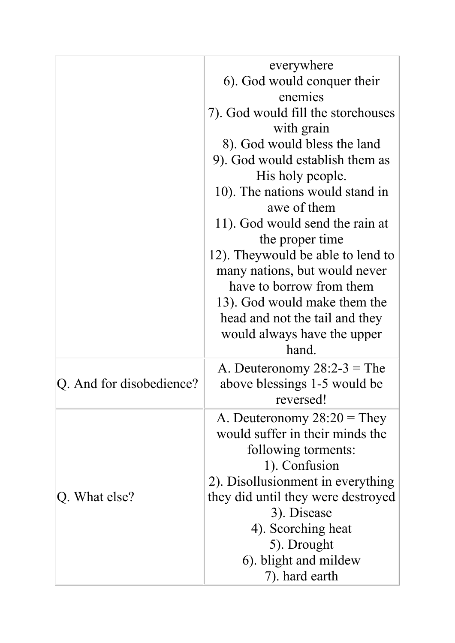|                          | everywhere                                     |
|--------------------------|------------------------------------------------|
|                          | 6). God would conquer their                    |
|                          | enemies                                        |
|                          | 7). God would fill the storehouses             |
|                          | with grain                                     |
|                          | 8). God would bless the land                   |
|                          | 9). God would establish them as                |
|                          | His holy people.                               |
|                          | 10). The nations would stand in<br>awe of them |
|                          | 11). God would send the rain at                |
|                          | the proper time                                |
|                          | 12). Theywould be able to lend to              |
|                          | many nations, but would never                  |
|                          | have to borrow from them                       |
|                          | 13). God would make them the                   |
|                          | head and not the tail and they                 |
|                          | would always have the upper                    |
|                          | hand.                                          |
|                          | A. Deuteronomy $28:2-3 =$ The                  |
| Q. And for disobedience? | above blessings 1-5 would be                   |
|                          | reversed!                                      |
|                          | A. Deuteronomy $28:20 =$ They                  |
|                          | would suffer in their minds the                |
|                          | following torments:                            |
| $ Q$ . What else?        | 1). Confusion                                  |
|                          | 2). Disollusionment in everything              |
|                          | they did until they were destroyed             |
|                          | 3). Disease                                    |
|                          | 4). Scorching heat                             |
|                          | 5). Drought                                    |
|                          | 6). blight and mildew                          |
|                          | 7). hard earth                                 |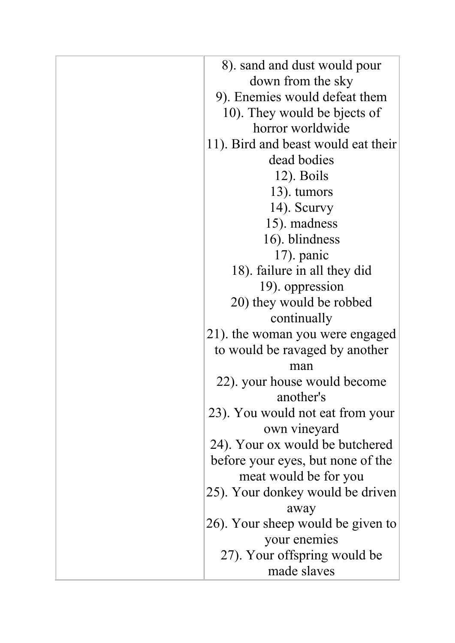| 8). sand and dust would pour        |
|-------------------------------------|
| down from the sky                   |
| 9). Enemies would defeat them       |
| 10). They would be bjects of        |
| horror worldwide                    |
| 11). Bird and beast would eat their |
| dead bodies                         |
| $12)$ . Boils                       |
| 13). tumors                         |
| 14). Scurvy                         |
| 15). madness                        |
| 16). blindness                      |
| $17$ ). panic                       |
| 18). failure in all they did        |
| 19). oppression                     |
| 20) they would be robbed            |
| continually                         |
| 21). the woman you were engaged     |
| to would be ravaged by another      |
| man                                 |
| 22). your house would become        |
| another's                           |
| 23). You would not eat from your    |
| own vineyard                        |
| 24). Your ox would be butchered     |
| before your eyes, but none of the   |
| meat would be for you               |
| 25). Your donkey would be driven    |
| away                                |
| 26). Your sheep would be given to   |
| your enemies                        |
| 27). Your offspring would be        |
| made slaves                         |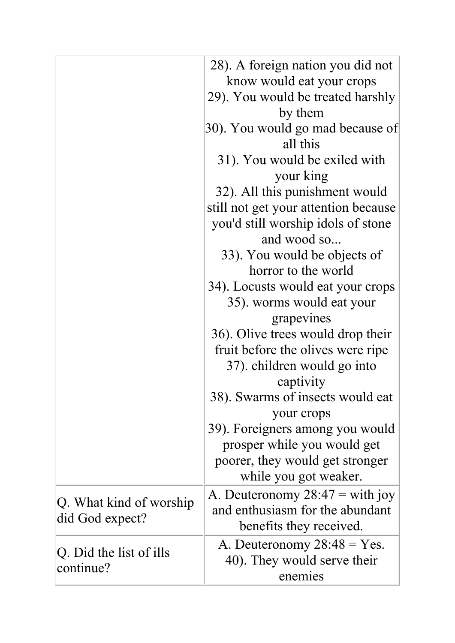|                                            | 28). A foreign nation you did not<br>know would eat your crops<br>29). You would be treated harshly<br>by them |
|--------------------------------------------|----------------------------------------------------------------------------------------------------------------|
|                                            | 30). You would go mad because of<br>all this                                                                   |
|                                            | 31). You would be exiled with<br>your king                                                                     |
|                                            | 32). All this punishment would<br>still not get your attention because                                         |
|                                            | you'd still worship idols of stone<br>and wood so                                                              |
|                                            | 33). You would be objects of<br>horror to the world                                                            |
|                                            | 34). Locusts would eat your crops<br>35). worms would eat your                                                 |
|                                            | grapevines                                                                                                     |
|                                            | 36). Olive trees would drop their<br>fruit before the olives were ripe                                         |
|                                            | 37). children would go into<br>captivity                                                                       |
|                                            | 38). Swarms of insects would eat<br>your crops                                                                 |
|                                            | 39). Foreigners among you would                                                                                |
|                                            | prosper while you would get<br>poorer, they would get stronger<br>while you got weaker.                        |
| Q. What kind of worship<br>did God expect? | A. Deuteronomy $28:47 =$ with joy<br>and enthusiasm for the abundant<br>benefits they received.                |
| Q. Did the list of ills<br>continue?       | A. Deuteronomy $28:48 = Yes$ .<br>40). They would serve their<br>enemies                                       |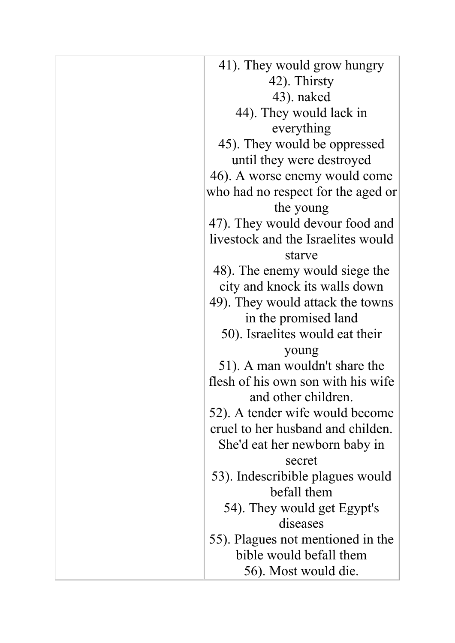| 41). They would grow hungry        |
|------------------------------------|
| 42). Thirsty                       |
| 43). naked                         |
| 44). They would lack in            |
| everything                         |
| 45). They would be oppressed       |
| until they were destroyed          |
| 46). A worse enemy would come      |
| who had no respect for the aged or |
| the young                          |
| 47). They would devour food and    |
| livestock and the Israelites would |
| starve                             |
| 48). The enemy would siege the     |
| city and knock its walls down      |
| 49). They would attack the towns   |
| in the promised land               |
| 50). Israelites would eat their    |
| young                              |
| 51). A man wouldn't share the      |
| flesh of his own son with his wife |
| and other children.                |
| 52). A tender wife would become    |
| cruel to her husband and childen.  |
| She'd eat her newborn baby in      |
| secret                             |
| 53). Indescribible plagues would   |
| befall them                        |
| 54). They would get Egypt's        |
| diseases                           |
| 55). Plagues not mentioned in the  |
| bible would befall them            |
| 56). Most would die.               |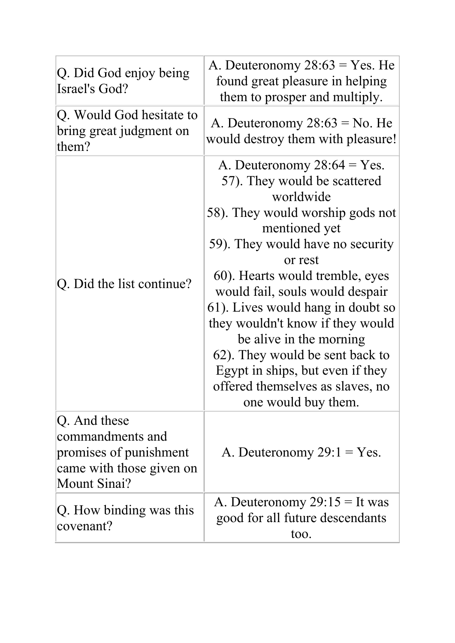| Q. Did God enjoy being<br>Israel's God?                                                                | A. Deuteronomy $28:63 = Yes.$ He<br>found great pleasure in helping<br>them to prosper and multiply.                                                                                                                                                                                                                                                                                                                                                                                        |
|--------------------------------------------------------------------------------------------------------|---------------------------------------------------------------------------------------------------------------------------------------------------------------------------------------------------------------------------------------------------------------------------------------------------------------------------------------------------------------------------------------------------------------------------------------------------------------------------------------------|
| Q. Would God hesitate to<br>bring great judgment on<br>them?                                           | A. Deuteronomy $28:63 =$ No. He<br>would destroy them with pleasure!                                                                                                                                                                                                                                                                                                                                                                                                                        |
| Q. Did the list continue?                                                                              | A. Deuteronomy $28:64 = Yes$ .<br>57). They would be scattered<br>worldwide<br>58). They would worship gods not<br>mentioned yet<br>59). They would have no security<br>or rest<br>60). Hearts would tremble, eyes<br>would fail, souls would despair<br>61). Lives would hang in doubt so<br>they wouldn't know if they would<br>be alive in the morning<br>62). They would be sent back to<br>Egypt in ships, but even if they<br>offered themselves as slaves, no<br>one would buy them. |
| Q. And these<br>commandments and<br>promises of punishment<br>came with those given on<br>Mount Sinai? | A. Deuteronomy $29:1 = Yes$ .                                                                                                                                                                                                                                                                                                                                                                                                                                                               |
| Q. How binding was this<br>covenant?                                                                   | A. Deuteronomy $29:15 =$ It was<br>good for all future descendants<br>too.                                                                                                                                                                                                                                                                                                                                                                                                                  |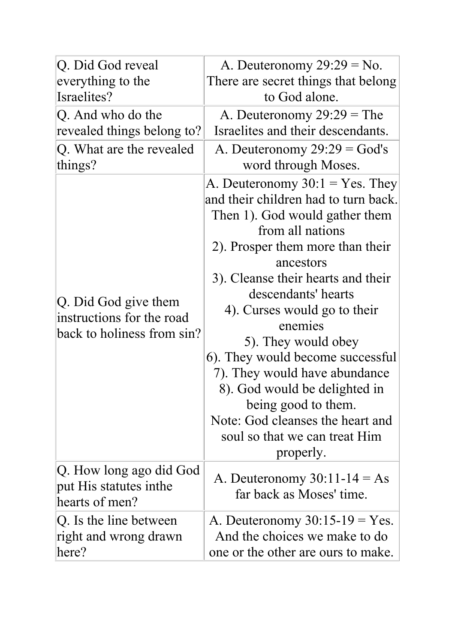| Q. Did God reveal                                                               | A. Deuteronomy $29:29 = No$ .                                                                                                                                                                                                                                                                                                                                                                                                                                                                                                   |
|---------------------------------------------------------------------------------|---------------------------------------------------------------------------------------------------------------------------------------------------------------------------------------------------------------------------------------------------------------------------------------------------------------------------------------------------------------------------------------------------------------------------------------------------------------------------------------------------------------------------------|
| everything to the                                                               | There are secret things that belong                                                                                                                                                                                                                                                                                                                                                                                                                                                                                             |
| Israelites?                                                                     | to God alone.                                                                                                                                                                                                                                                                                                                                                                                                                                                                                                                   |
| Q. And who do the                                                               | A. Deuteronomy $29:29 =$ The                                                                                                                                                                                                                                                                                                                                                                                                                                                                                                    |
| revealed things belong to?                                                      | Israelites and their descendants.                                                                                                                                                                                                                                                                                                                                                                                                                                                                                               |
| Q. What are the revealed                                                        | A. Deuteronomy $29:29 = God's$                                                                                                                                                                                                                                                                                                                                                                                                                                                                                                  |
| things?                                                                         | word through Moses.                                                                                                                                                                                                                                                                                                                                                                                                                                                                                                             |
| Q. Did God give them<br>instructions for the road<br>back to holiness from sin? | A. Deuteronomy $30:1 = Yes$ . They<br>and their children had to turn back.<br>Then 1). God would gather them<br>from all nations<br>2). Prosper them more than their<br>ancestors<br>3). Cleanse their hearts and their<br>descendants' hearts<br>4). Curses would go to their<br>enemies<br>5). They would obey<br>6). They would become successful<br>7). They would have abundance<br>8). God would be delighted in<br>being good to them.<br>Note: God cleanses the heart and<br>soul so that we can treat Him<br>properly. |
| Q. How long ago did God<br>put His statutes inthe<br>hearts of men?             | A. Deuteronomy $30:11-14 = As$<br>far back as Moses' time.                                                                                                                                                                                                                                                                                                                                                                                                                                                                      |
| Q. Is the line between                                                          | A. Deuteronomy $30:15-19 = Yes.$                                                                                                                                                                                                                                                                                                                                                                                                                                                                                                |
| right and wrong drawn                                                           | And the choices we make to do                                                                                                                                                                                                                                                                                                                                                                                                                                                                                                   |
| here?                                                                           | one or the other are ours to make.                                                                                                                                                                                                                                                                                                                                                                                                                                                                                              |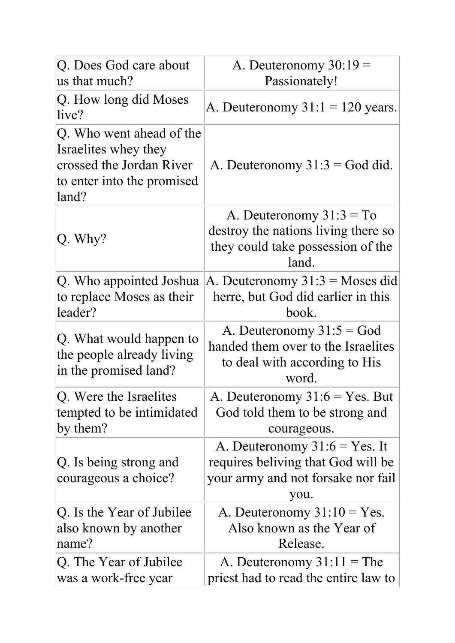| Q. Does God care about                                                                                              | A. Deuteronomy $30:19 =$                                                                                            |
|---------------------------------------------------------------------------------------------------------------------|---------------------------------------------------------------------------------------------------------------------|
| us that much?                                                                                                       | Passionately!                                                                                                       |
| Q. How long did Moses<br>live?                                                                                      | A. Deuteronomy $31:1 = 120$ years.                                                                                  |
| Q. Who went ahead of the<br>Israelites whey they<br>crossed the Jordan River<br>to enter into the promised<br>land? | A. Deuteronomy $31:3 = God$ did.                                                                                    |
| Q. Why?                                                                                                             | A. Deuteronomy $31:3 = To$<br>destroy the nations living there so<br>they could take possession of the<br>land.     |
| Q. Who appointed Joshua<br>to replace Moses as their<br>leader?                                                     | A. Deuteronomy $31:3$ = Moses did<br>herre, but God did earlier in this<br>book.                                    |
| Q. What would happen to<br>the people already living<br>in the promised land?                                       | A. Deuteronomy $31:5 = God$<br>handed them over to the Israelites<br>to deal with according to His<br>word.         |
| Q. Were the Israelites<br>tempted to be intimidated<br>by them?                                                     | A. Deuteronomy $31:6 = Yes$ . But<br>God told them to be strong and<br>courageous.                                  |
| Q. Is being strong and<br>courageous a choice?                                                                      | A. Deuteronomy $31:6 = Yes.$ It<br>requires beliving that God will be<br>your army and not forsake nor fail<br>you. |
| Q. Is the Year of Jubilee<br>also known by another<br>name?                                                         | A. Deuteronomy $31:10 = Yes$ .<br>Also known as the Year of<br>Release.                                             |
| Q. The Year of Jubilee<br>was a work-free year                                                                      | A. Deuteronomy $31:11 =$ The<br>priest had to read the entire law to                                                |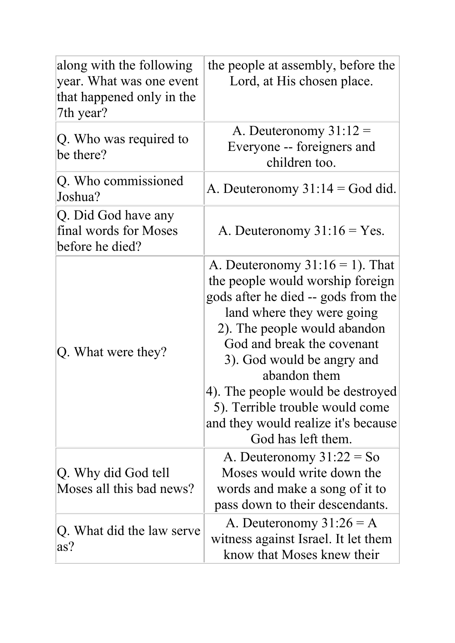| along with the following<br>year. What was one event<br>that happened only in the<br>7th year? | the people at assembly, before the<br>Lord, at His chosen place.                                                                                                                                                                                                                                                                                                                             |
|------------------------------------------------------------------------------------------------|----------------------------------------------------------------------------------------------------------------------------------------------------------------------------------------------------------------------------------------------------------------------------------------------------------------------------------------------------------------------------------------------|
| Q. Who was required to<br>be there?                                                            | A. Deuteronomy $31:12 =$<br>Everyone -- foreigners and<br>children too.                                                                                                                                                                                                                                                                                                                      |
| Q. Who commissioned<br>Joshua?                                                                 | A. Deuteronomy $31:14 = God$ did.                                                                                                                                                                                                                                                                                                                                                            |
| Q. Did God have any<br>final words for Moses<br>before he died?                                | A. Deuteronomy $31:16 = Yes$ .                                                                                                                                                                                                                                                                                                                                                               |
| Q. What were they?                                                                             | A. Deuteronomy $31:16 = 1$ ). That<br>the people would worship foreign<br>gods after he died -- gods from the<br>land where they were going<br>2). The people would abandon<br>God and break the covenant<br>3). God would be angry and<br>abandon them<br>4). The people would be destroyed<br>5). Terrible trouble would come<br>and they would realize it's because<br>God has left them. |
| Q. Why did God tell<br>Moses all this bad news?                                                | A. Deuteronomy $31:22 = So$<br>Moses would write down the<br>words and make a song of it to<br>pass down to their descendants.                                                                                                                                                                                                                                                               |
| Q. What did the law serve<br>as?                                                               | A. Deuteronomy $31:26 = A$<br>witness against Israel. It let them<br>know that Moses knew their                                                                                                                                                                                                                                                                                              |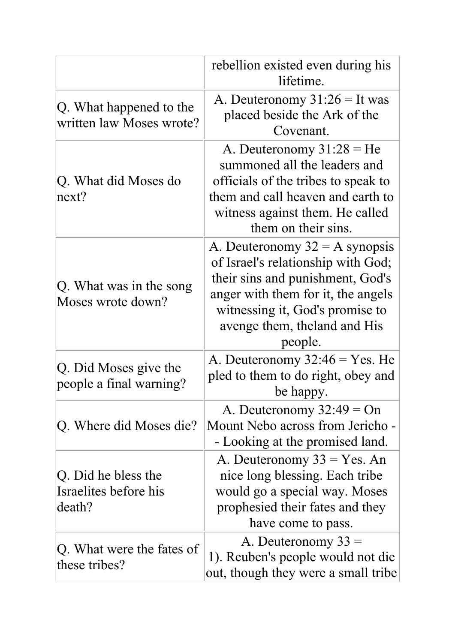|                                                        | rebellion existed even during his<br>lifetime.                                                                                                                                                                                  |
|--------------------------------------------------------|---------------------------------------------------------------------------------------------------------------------------------------------------------------------------------------------------------------------------------|
| Q. What happened to the<br>written law Moses wrote?    | A. Deuteronomy $31:26 =$ It was<br>placed beside the Ark of the<br>Covenant.                                                                                                                                                    |
| Q. What did Moses do<br>next?                          | A. Deuteronomy $31:28 = He$<br>summoned all the leaders and<br>officials of the tribes to speak to<br>them and call heaven and earth to<br>witness against them. He called<br>them on their sins.                               |
| Q. What was in the song<br>Moses wrote down?           | A. Deuteronomy $32 = A$ synopsis<br>of Israel's relationship with God;<br>their sins and punishment, God's<br>anger with them for it, the angels<br>witnessing it, God's promise to<br>avenge them, the land and His<br>people. |
| Q. Did Moses give the<br>people a final warning?       | A. Deuteronomy $32:46 = Yes$ . He<br>pled to them to do right, obey and<br>be happy.                                                                                                                                            |
| Q. Where did Moses die?                                | A. Deuteronomy $32:49 = On$<br>Mount Nebo across from Jericho -<br>- Looking at the promised land.                                                                                                                              |
| Q. Did he bless the<br>Israelites before his<br>death? | A. Deuteronomy $33 = Yes$ . An<br>nice long blessing. Each tribe<br>would go a special way. Moses<br>prophesied their fates and they<br>have come to pass.                                                                      |
| Q. What were the fates of<br>these tribes?             | A. Deuteronomy $33 =$<br>1). Reuben's people would not die<br>out, though they were a small tribe                                                                                                                               |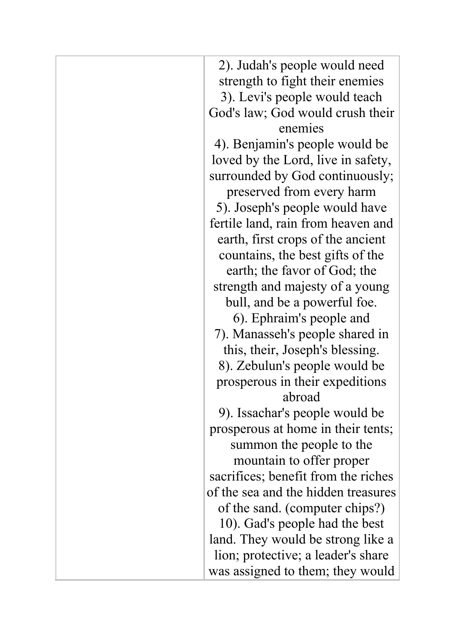| 2). Judah's people would need       |
|-------------------------------------|
| strength to fight their enemies     |
| 3). Levi's people would teach       |
| God's law; God would crush their    |
| enemies                             |
| 4). Benjamin's people would be      |
| loved by the Lord, live in safety,  |
| surrounded by God continuously;     |
| preserved from every harm           |
| 5). Joseph's people would have      |
| fertile land, rain from heaven and  |
| earth, first crops of the ancient   |
| countains, the best gifts of the    |
| earth; the favor of God; the        |
| strength and majesty of a young     |
| bull, and be a powerful foe.        |
| 6). Ephraim's people and            |
| 7). Manasseh's people shared in     |
| this, their, Joseph's blessing.     |
| 8). Zebulun's people would be       |
| prosperous in their expeditions     |
| abroad                              |
| 9). Issachar's people would be      |
| prosperous at home in their tents;  |
| summon the people to the            |
| mountain to offer proper            |
| sacrifices; benefit from the riches |
| of the sea and the hidden treasures |
| of the sand. (computer chips?)      |
| 10). Gad's people had the best      |
| land. They would be strong like a   |
| lion; protective; a leader's share  |
| was assigned to them; they would    |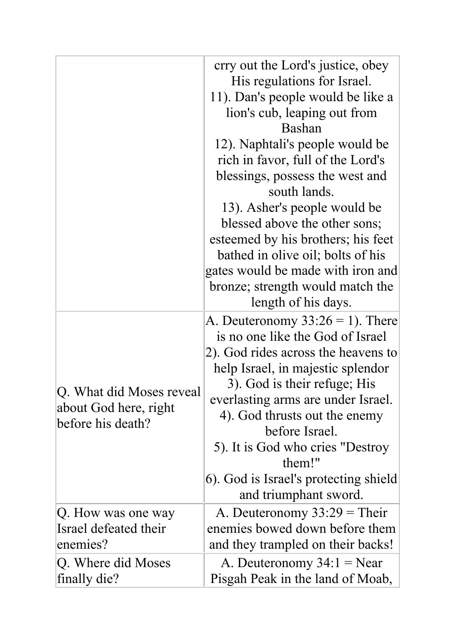|                                                                        | crry out the Lord's justice, obey<br>His regulations for Israel.<br>11). Dan's people would be like a<br>lion's cub, leaping out from<br><b>Bashan</b><br>12). Naphtali's people would be<br>rich in favor, full of the Lord's<br>blessings, possess the west and<br>south lands.<br>13). Asher's people would be<br>blessed above the other sons;                                            |
|------------------------------------------------------------------------|-----------------------------------------------------------------------------------------------------------------------------------------------------------------------------------------------------------------------------------------------------------------------------------------------------------------------------------------------------------------------------------------------|
|                                                                        | esteemed by his brothers; his feet<br>bathed in olive oil; bolts of his<br>gates would be made with iron and<br>bronze; strength would match the<br>length of his days.                                                                                                                                                                                                                       |
| Q. What did Moses reveal<br>about God here, right<br>before his death? | A. Deuteronomy $33:26 = 1$ ). There<br>is no one like the God of Israel<br>2). God rides across the heavens to<br>help Israel, in majestic splendor<br>3). God is their refuge; His<br>everlasting arms are under Israel.<br>4). God thrusts out the enemy<br>before Israel.<br>5). It is God who cries "Destroy"<br>them!"<br>6). God is Israel's protecting shield<br>and triumphant sword. |
| Q. How was one way<br>Israel defeated their<br>enemies?                | A. Deuteronomy $33:29$ = Their<br>enemies bowed down before them<br>and they trampled on their backs!                                                                                                                                                                                                                                                                                         |
| Q. Where did Moses<br>finally die?                                     | A. Deuteronomy $34:1 =$ Near<br>Pisgah Peak in the land of Moab,                                                                                                                                                                                                                                                                                                                              |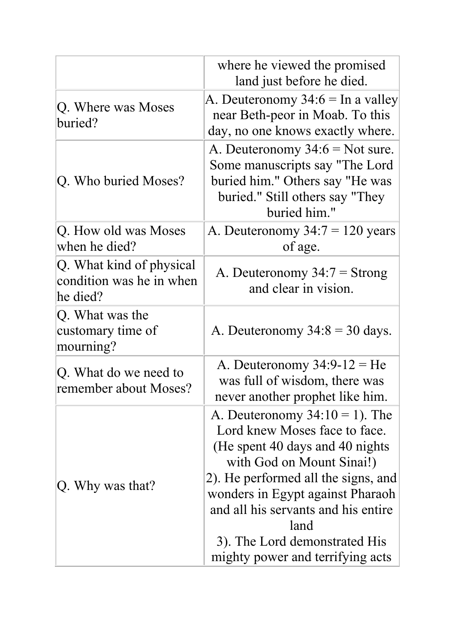|                                                                  | where he viewed the promised<br>land just before he died.                                                                                                                                                                                                                                                                          |
|------------------------------------------------------------------|------------------------------------------------------------------------------------------------------------------------------------------------------------------------------------------------------------------------------------------------------------------------------------------------------------------------------------|
| Q. Where was Moses<br>buried?                                    | A. Deuteronomy $34:6 = \text{In a valley}$<br>near Beth-peor in Moab. To this<br>day, no one knows exactly where.                                                                                                                                                                                                                  |
| Q. Who buried Moses?                                             | A. Deuteronomy $34:6 =$ Not sure.<br>Some manuscripts say "The Lord<br>buried him." Others say "He was<br>buried." Still others say "They<br>buried him."                                                                                                                                                                          |
| Q. How old was Moses<br>when he died?                            | A. Deuteronomy $34:7 = 120$ years<br>of age.                                                                                                                                                                                                                                                                                       |
| Q. What kind of physical<br>condition was he in when<br>he died? | A. Deuteronomy $34:7 =$ Strong<br>and clear in vision.                                                                                                                                                                                                                                                                             |
| Q. What was the<br>customary time of<br>mourning?                | A. Deuteronomy $34:8 = 30$ days.                                                                                                                                                                                                                                                                                                   |
| Q. What do we need to<br>remember about Moses?                   | A. Deuteronomy $34:9-12 = He$<br>was full of wisdom, there was<br>never another prophet like him.                                                                                                                                                                                                                                  |
| Q. Why was that?                                                 | A. Deuteronomy $34:10 = 1$ ). The<br>Lord knew Moses face to face.<br>(He spent 40 days and 40 nights)<br>with God on Mount Sinai!)<br>2). He performed all the signs, and<br>wonders in Egypt against Pharaoh<br>and all his servants and his entire<br>land<br>3). The Lord demonstrated His<br>mighty power and terrifying acts |